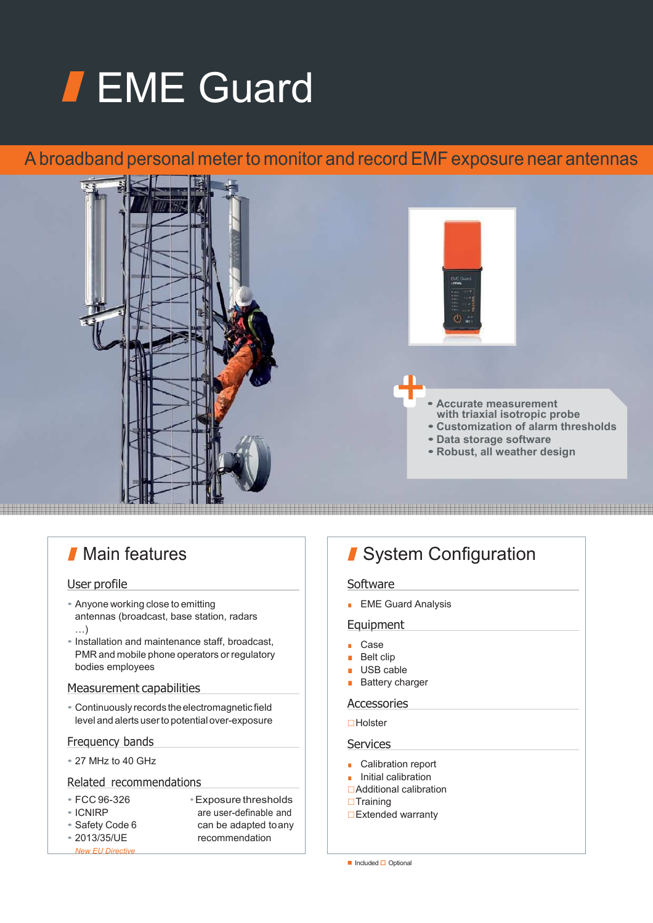# **FEME Guard**

# A broadband personal meter to monitor and record EMF exposure near antennas



# **Main features**

## User profile

- Anyone working close to emitting antennas (broadcast, base station, radars …)
- Installation and maintenance staff, broadcast, PMR and mobile phone operators or regulatory bodies employees

## Measurement capabilities

• Continuously records the electromagnetic field level and alerts user to potential over-exposure

## Frequency bands

• 27 MHz to 40 GHz

### Related recommendations

- FCC 96-326 Exposure thresholds
- 
- 
- 
- ICNIRP are user-definable and<br>• Safety Code 6 (can be adapted to any • Safety Code 6 can be adapted to any<br>• 2013/35/UE commendation recommendation

# System Configuration

#### **Software**

■ EME Guard Analysis

#### Equipment

- Case
- Belt clip
- USB cable
- Battery charger

## Accessories

## **□Holster**

#### **Services**

- Calibration report
- Initial calibration
- **□Additional calibration**
- $\Box$ Training
- □Extended warranty

*New EU Directive*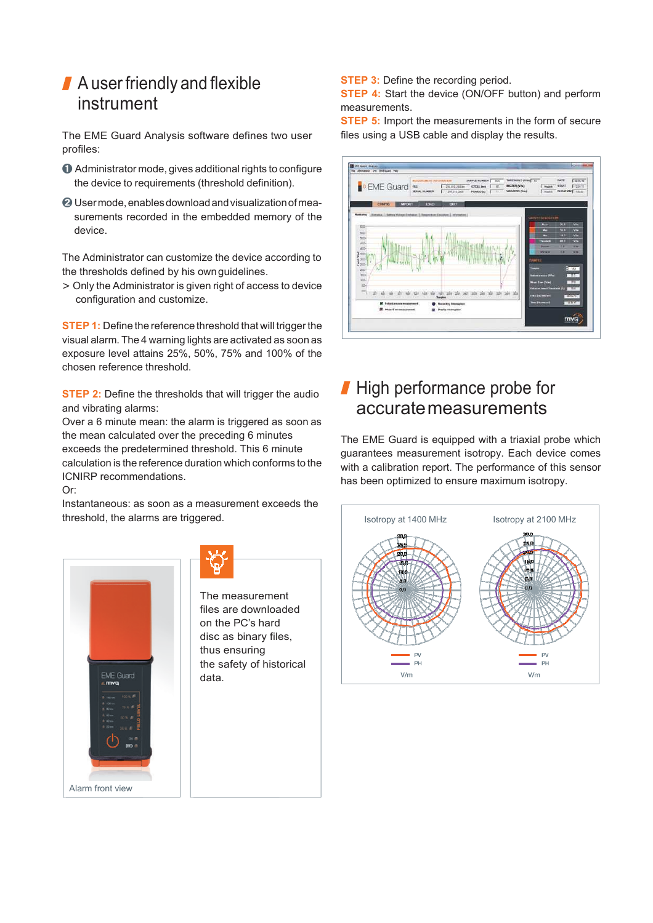# A user friendly and flexible instrument

The EME Guard Analysis software defines two user profiles:

- ➊ Administrator mode, gives additional rights to configure the device to requirements (threshold definition).
- ➋ User mode, enables download and visualization of measurements recorded in the embedded memory of the device.

The Administrator can customize the device according to the thresholds defined by his own guidelines.

> Only the Administrator is given right of access to device configuration and customize.

**STEP 1:** Define the reference threshold that will trigger the visual alarm. The 4 warning lights are activated as soon as exposure level attains 25%, 50%, 75% and 100% of the chosen reference threshold.

**STEP 2:** Define the thresholds that will trigger the audio and vibrating alarms:

Over a 6 minute mean: the alarm is triggered as soon as the mean calculated over the preceding 6 minutes exceeds the predetermined threshold. This 6 minute calculation is the reference duration which conforms to the ICNIRP recommendations.

Or:

Instantaneous: as soon as a measurement exceeds the threshold, the alarms are triggered.



The measurement files are downloaded on the PC's hard disc as binary files, thus ensuring the safety of historical data.

**STEP 3:** Define the recording period.

**STEP 4:** Start the device (ON/OFF button) and perform measurements.

**STEP 5:** Import the measurements in the form of secure files using a USB cable and display the results.



# High performance probe for accurate measurements

The EME Guard is equipped with a triaxial probe which guarantees measurement isotropy. Each device comes with a calibration report. The performance of this sensor has been optimized to ensure maximum isotropy.

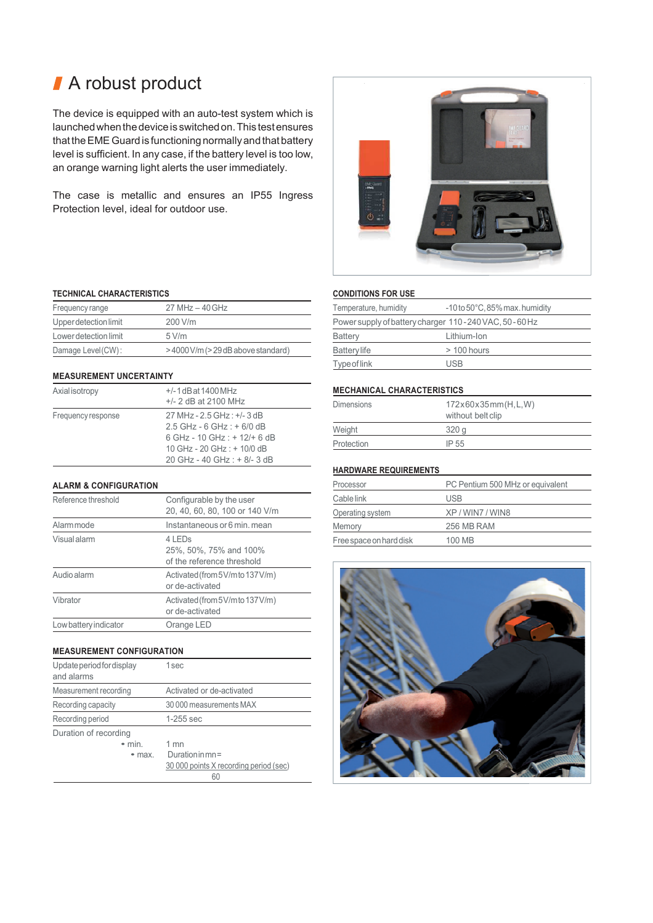# ■ A robust product

The device is equipped with an auto-test system which is launched when the device is switched on. This test ensures that the EME Guard is functioning normally and that battery level is sufficient. In any case, if the battery level is too low, an orange warning light alerts the user immediately.

The case is metallic and ensures an IP55 Ingress Protection level, ideal for outdoor use.

#### **TECHNICAL CHARACTERISTICS**

| Frequency range       | $27 MHz - 40 GHz$               |
|-----------------------|---------------------------------|
| Upper detection limit | $200$ V/m                       |
| Lower detection limit | 5 V/m                           |
| Damage Level(CW):     | >4000V/m (>29dB above standard) |

#### **MEASUREMENT UNCERTAINTY**

| Axialisotropy      | $+/-1$ dB at 1400 MHz<br>$+/- 2$ dB at 2100 MHz                                                                                                               |
|--------------------|---------------------------------------------------------------------------------------------------------------------------------------------------------------|
| Frequency response | 27 MHz - 2.5 GHz : +/- 3 dB<br>$2.5$ GHz - 6 GHz : + 6/0 dB<br>6 GHz - 10 GHz : $+ 12/ + 6$ dB<br>10 GHz - 20 GHz : + 10/0 dB<br>20 GHz - 40 GHz : + 8/- 3 dB |

#### **ALARM & CONFIGURATION**

| Reference threshold   | Configurable by the user<br>20, 40, 60, 80, 100 or 140 V/m     |
|-----------------------|----------------------------------------------------------------|
| Alarm mode            | Instantaneous or 6 min. mean                                   |
| <b>Visual alarm</b>   | 4 LEDs<br>25%, 50%, 75% and 100%<br>of the reference threshold |
| Audio alarm           | Activated (from 5V/m to 137V/m)<br>or de-activated             |
| Vibrator              | Activated (from 5V/m to 137V/m)<br>or de-activated             |
| Low battery indicator | Orange LED                                                     |

#### **MEASUREMENT CONFIGURATION**

| Update period for display<br>and alarms | 1 sec                                  |
|-----------------------------------------|----------------------------------------|
| Measurement recording                   | Activated or de-activated              |
| Recording capacity                      | 30 000 measurements MAX                |
| Recording period                        | $1-255$ sec                            |
| Duration of recording                   |                                        |
| $\bullet$ min                           | $1$ mn                                 |
| $\bullet$ max.                          | Duration in $mn =$                     |
|                                         | 30 000 points X recording period (sec) |
|                                         | 60                                     |



#### **CONDITIONS FOR USE**

| Temperature, humidity                                 | $-10$ to $50^{\circ}$ C, 85% max. humidity |  |
|-------------------------------------------------------|--------------------------------------------|--|
| Power supply of battery charger 110-240 VAC, 50-60 Hz |                                            |  |
| Battery                                               | Lithium-Ion                                |  |
| <b>Battery life</b>                                   | $>$ 100 hours                              |  |
| Type of link                                          | <b>USB</b>                                 |  |

#### **MECHANICAL CHARACTERISTICS**

| Dimensions | 172x60x35mm(H, L, W)<br>without belt clip |
|------------|-------------------------------------------|
| Weight     | 320 <sub>a</sub>                          |
| Protection | IP 55                                     |

#### **HARDWARE REQUIREMENTS**

| Processor               | PC Pentium 500 MHz or equivalent |
|-------------------------|----------------------------------|
| Cable link              | <b>USB</b>                       |
| Operating system        | XP/WIN7/WIN8                     |
| Memory                  | 256 MB RAM                       |
| Free space on hard disk | 100 MB                           |